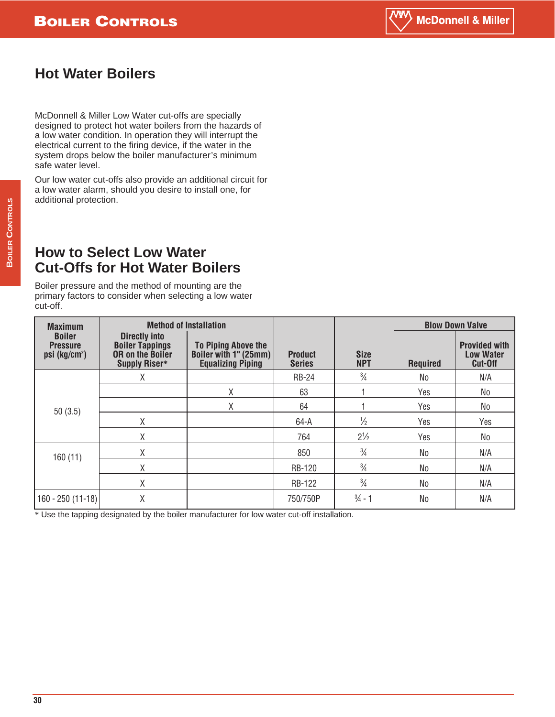# **Hot Water Boilers**

McDonnell & Miller Low Water cut-offs are specially designed to protect hot water boilers from the hazards of a low water condition. In operation they will interrupt the electrical current to the firing device, if the water in the system drops below the boiler manufacturer's minimum safe water level.

Our low water cut-offs also provide an additional circuit for a low water alarm, should you desire to install one, for additional protection.

## **How to Select Low Water Cut-Offs for Hot Water Boilers**

Boiler pressure and the method of mounting are the primary factors to consider when selecting a low water cut-off.

| <b>Maximum</b>                                                  | <b>Method of Installation</b>                                                              |                                                                          |                                 |                           | <b>Blow Down Valve</b> |                                                     |
|-----------------------------------------------------------------|--------------------------------------------------------------------------------------------|--------------------------------------------------------------------------|---------------------------------|---------------------------|------------------------|-----------------------------------------------------|
| <b>Boiler</b><br><b>Pressure</b><br>$psi$ (kg/cm <sup>2</sup> ) | <b>Directly into</b><br><b>Boiler Tappings</b><br><b>OR on the Boiler</b><br>Supply Riser* | To Piping Above the<br>Boiler with 1" (25mm)<br><b>Equalizing Piping</b> | <b>Product</b><br><b>Series</b> | <b>Size</b><br><b>NPT</b> | <b>Required</b>        | <b>Provided with</b><br><b>Low Water</b><br>Cut-Off |
|                                                                 | χ                                                                                          |                                                                          | <b>RB-24</b>                    | $\frac{3}{4}$             | No                     | N/A                                                 |
|                                                                 |                                                                                            | χ                                                                        | 63                              |                           | Yes                    | No                                                  |
| 50(3.5)                                                         |                                                                                            | χ                                                                        | 64                              |                           | Yes                    | No                                                  |
|                                                                 | Χ                                                                                          |                                                                          | $64 - A$                        | $\frac{1}{2}$             | Yes                    | Yes                                                 |
|                                                                 | Χ                                                                                          |                                                                          | 764                             | $2^{1/2}$                 | Yes                    | N <sub>o</sub>                                      |
| 160(11)                                                         | Χ                                                                                          |                                                                          | 850                             | $\frac{3}{4}$             | No                     | N/A                                                 |
|                                                                 | χ                                                                                          |                                                                          | <b>RB-120</b>                   | $\frac{3}{4}$             | No                     | N/A                                                 |
|                                                                 | X                                                                                          |                                                                          | <b>RB-122</b>                   | $\frac{3}{4}$             | No                     | N/A                                                 |
| $160 - 250(11-18)$                                              | χ                                                                                          |                                                                          | 750/750P                        | $\frac{3}{4}$ - 1         | <b>No</b>              | N/A                                                 |

\* Use the tapping designated by the boiler manufacturer for low water cut-off installation.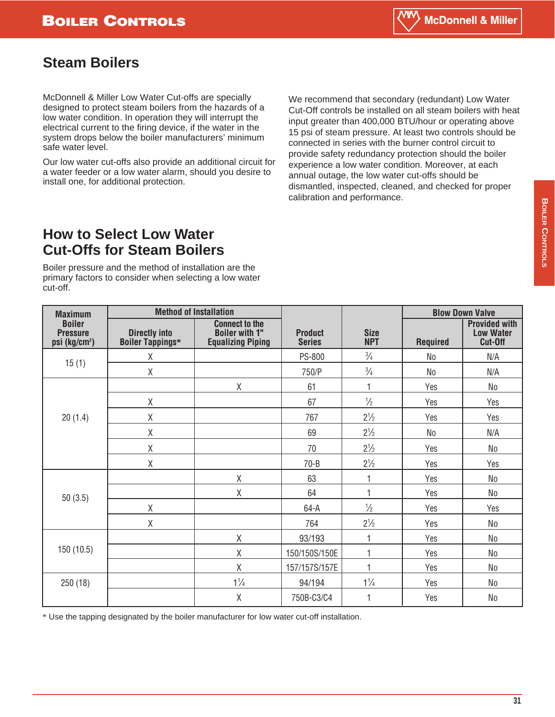## **Steam Boilers**

McDonnell & Miller Low Water Cut-offs are specially designed to protect steam boilers from the hazards of a low water condition. In operation they will interrupt the electrical current to the firing device, if the water in the system drops below the boiler manufacturers' minimum safe water level.

Our low water cut-offs also provide an additional circuit for a water feeder or a low water alarm, should you desire to install one, for additional protection.

We recommend that secondary (redundant) Low Water Cut-Off controls be installed on all steam boilers with heat input greater than 400,000 BTU/hour or operating above 15 psi of steam pressure. At least two controls should be connected in series with the burner control circuit to provide safety redundancy protection should the boiler experience a low water condition. Moreover, at each annual outage, the low water cut-offs should be dismantled, inspected, cleaned, and checked for proper calibration and performance.

## **How to Select Low Water Cut-Offs for Steam Boilers**

Boiler pressure and the method of installation are the primary factors to consider when selecting a low water cut-off.

| <b>Maximum</b>                                                | <b>Method of Installation</b>                   |                                                                            |                                 | <b>Blow Down Valve</b>    |                 |                                                     |
|---------------------------------------------------------------|-------------------------------------------------|----------------------------------------------------------------------------|---------------------------------|---------------------------|-----------------|-----------------------------------------------------|
| <b>Boiler</b><br><b>Pressure</b><br>psi (kg/cm <sup>2</sup> ) | <b>Directly into</b><br><b>Boiler Tappings*</b> | <b>Connect to the</b><br><b>Boiler with 1"</b><br><b>Equalizing Piping</b> | <b>Product</b><br><b>Series</b> | <b>Size</b><br><b>NPT</b> | <b>Required</b> | <b>Provided with</b><br><b>Low Water</b><br>Cut-Off |
|                                                               | Χ                                               |                                                                            | PS-800                          | $\frac{3}{4}$             | No              | N/A                                                 |
| 15(1)                                                         | Χ                                               |                                                                            | 750/P                           | $\frac{3}{4}$             | No              | N/A                                                 |
|                                                               |                                                 | Χ                                                                          | 61                              | 1                         | Yes             | No                                                  |
|                                                               | Χ                                               |                                                                            | 67                              | $\frac{1}{2}$             | Yes             | Yes                                                 |
| 20(1.4)                                                       | Χ                                               |                                                                            | 767                             | $2\frac{1}{2}$            | Yes             | Yes                                                 |
|                                                               | $\mathsf X$                                     |                                                                            | 69                              | $2\frac{1}{2}$            | No              | N/A                                                 |
|                                                               | Χ                                               |                                                                            | 70                              | $2\frac{1}{2}$            | Yes             | N <sub>0</sub>                                      |
|                                                               | Χ                                               |                                                                            | $70 - B$                        | $2\frac{1}{2}$            | Yes             | Yes                                                 |
|                                                               |                                                 | Χ                                                                          | 63                              |                           | Yes             | No                                                  |
| 50(3.5)                                                       |                                                 | $\mathsf X$                                                                | 64                              | 4                         | Yes             | N <sub>0</sub>                                      |
|                                                               | Χ                                               |                                                                            | $64-A$                          | $\frac{1}{2}$             | Yes             | Yes                                                 |
|                                                               | Χ                                               |                                                                            | 764                             | $2\frac{1}{2}$            | Yes             | N <sub>o</sub>                                      |
|                                                               |                                                 | Χ                                                                          | 93/193                          | 1                         | Yes             | N <sub>0</sub>                                      |
| 150 (10.5)                                                    |                                                 | Χ                                                                          | 150/150S/150E                   | 1                         | Yes             | N <sub>0</sub>                                      |
|                                                               |                                                 | Χ                                                                          | 157/157S/157E                   |                           | Yes             | No                                                  |
| $1\frac{1}{4}$<br>250 (18)                                    |                                                 |                                                                            | 94/194                          | $1\frac{1}{4}$            | Yes             | N <sub>0</sub>                                      |
|                                                               |                                                 | X                                                                          | 750B-C3/C4                      |                           | Yes             | N <sub>0</sub>                                      |

\* Use the tapping designated by the boiler manufacturer for low water cut-off installation.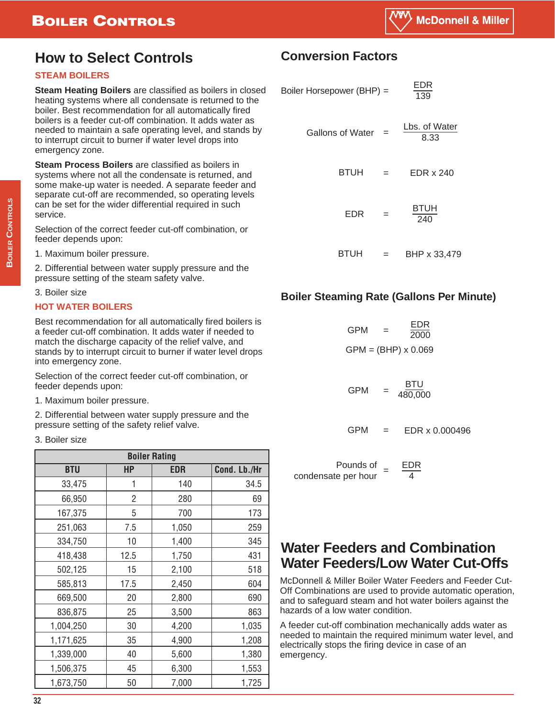# **BOILER CONTROLS**

# **How to Select Controls**

### **STEAM BOILERS**

**Steam Heating Boilers** are classified as boilers in closed heating systems where all condensate is returned to the boiler. Best recommendation for all automatically fired boilers is a feeder cut-off combination. It adds water as needed to maintain a safe operating level, and stands by to interrupt circuit to burner if water level drops into emergency zone.

**Steam Process Boilers** are classified as boilers in systems where not all the condensate is returned, and some make-up water is needed. A separate feeder and separate cut-off are recommended, so operating levels can be set for the wider differential required in such service.

Selection of the correct feeder cut-off combination, or feeder depends upon:

1. Maximum boiler pressure.

2. Differential between water supply pressure and the pressure setting of the steam safety valve.

#### 3. Boiler size

#### **HOT WATER BOILERS**

Best recommendation for all automatically fired boilers is a feeder cut-off combination. It adds water if needed to match the discharge capacity of the relief valve, and stands by to interrupt circuit to burner if water level drops into emergency zone.

Selection of the correct feeder cut-off combination, or feeder depends upon:

1. Maximum boiler pressure.

2. Differential between water supply pressure and the pressure setting of the safety relief valve.

3. Boiler size

| <b>Boiler Rating</b> |           |            |              |  |  |  |  |
|----------------------|-----------|------------|--------------|--|--|--|--|
| <b>BTU</b>           | <b>HP</b> | <b>EDR</b> | Cond. Lb./Hr |  |  |  |  |
| 33,475               | 1         | 140        | 34.5         |  |  |  |  |
| 66,950               | 2         | 280        | 69           |  |  |  |  |
| 167,375              | 5         | 700        | 173          |  |  |  |  |
| 251,063              | 7.5       | 1,050      | 259          |  |  |  |  |
| 334,750              | 10        | 1,400      | 345          |  |  |  |  |
| 418,438              | 12.5      | 1,750      | 431          |  |  |  |  |
| 502,125              | 15        | 2,100      | 518          |  |  |  |  |
| 585,813              | 17.5      | 2,450      | 604          |  |  |  |  |
| 669,500              | 20        | 2,800      | 690          |  |  |  |  |
| 836,875              | 25        | 3,500      | 863          |  |  |  |  |
| 1,004,250            | 30        | 4,200      | 1,035        |  |  |  |  |
| 1,171,625            | 35        | 4,900      | 1,208        |  |  |  |  |
| 1,339,000            | 40        | 5,600      | 1,380        |  |  |  |  |
| 1,506,375            | 45        | 6,300      | 1,553        |  |  |  |  |
| 1,673,750            | 50        | 7,000      | 1,725        |  |  |  |  |

## **Conversion Factors**

| Boiler Horsepower (BHP) = |     | EDR<br>139            |  |
|---------------------------|-----|-----------------------|--|
| <b>Gallons of Water</b>   |     | Lbs. of Water<br>8.33 |  |
| <b>BTUH</b>               | $=$ | EDR x 240             |  |
| EDR                       |     | <b>BTUH</b><br>240    |  |
| BTUH                      | $=$ | BHP x 33,479          |  |

### **Boiler Steaming Rate (Gallons Per Minute)**

| GPM | $=$ | EDR<br>2000                |
|-----|-----|----------------------------|
|     |     | $GPM = (BHP) \times 0.069$ |
|     |     |                            |

BTU  $GPM = \frac{618}{480,000}$ 

EDR x 0.000496 **GPM** 

Pounds of Pounds of  $=$   $\frac{EDR}{4}$ 4

# **Water Feeders and Combination Water Feeders/Low Water Cut-Offs**

McDonnell & Miller Boiler Water Feeders and Feeder Cut-Off Combinations are used to provide automatic operation, and to safeguard steam and hot water boilers against the hazards of a low water condition.

A feeder cut-off combination mechanically adds water as needed to maintain the required minimum water level, and electrically stops the firing device in case of an emergency.